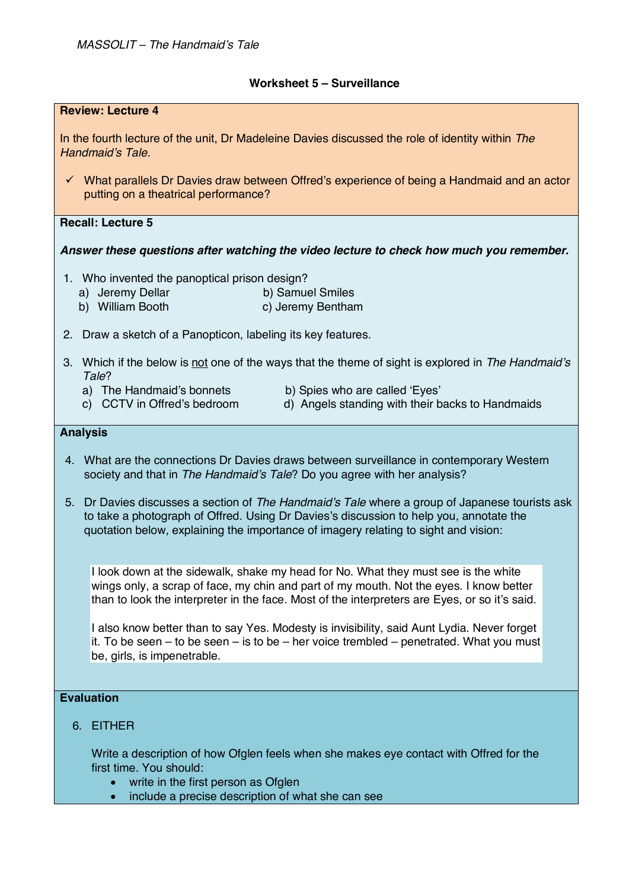## **Worksheet 5 – Surveillance**

| <b>Review: Lecture 4</b>                                                                                                                                                                                                                                                           |
|------------------------------------------------------------------------------------------------------------------------------------------------------------------------------------------------------------------------------------------------------------------------------------|
| In the fourth lecture of the unit, Dr Madeleine Davies discussed the role of identity within The<br>Handmaid's Tale.                                                                                                                                                               |
| $\checkmark$ What parallels Dr Davies draw between Offred's experience of being a Handmaid and an actor<br>putting on a theatrical performance?                                                                                                                                    |
| <b>Recall: Lecture 5</b>                                                                                                                                                                                                                                                           |
| Answer these questions after watching the video lecture to check how much you remember.                                                                                                                                                                                            |
| 1. Who invented the panoptical prison design?<br>a) Jeremy Dellar<br>b) Samuel Smiles<br>b) William Booth<br>c) Jeremy Bentham                                                                                                                                                     |
| 2. Draw a sketch of a Panopticon, labeling its key features.                                                                                                                                                                                                                       |
| 3. Which if the below is not one of the ways that the theme of sight is explored in The Handmaid's<br>Tale?                                                                                                                                                                        |
| a) The Handmaid's bonnets<br>b) Spies who are called 'Eyes'<br>c) CCTV in Offred's bedroom<br>d) Angels standing with their backs to Handmaids                                                                                                                                     |
| <b>Analysis</b>                                                                                                                                                                                                                                                                    |
| 4. What are the connections Dr Davies draws between surveillance in contemporary Western<br>society and that in The Handmaid's Tale? Do you agree with her analysis?                                                                                                               |
| Dr Davies discusses a section of The Handmaid's Tale where a group of Japanese tourists ask<br>5.<br>to take a photograph of Offred. Using Dr Davies's discussion to help you, annotate the<br>quotation below, explaining the importance of imagery relating to sight and vision: |
| I look down at the sidewalk, shake my head for No. What they must see is the white<br>wings only, a scrap of face, my chin and part of my mouth. Not the eyes. I know better<br>than to look the interpreter in the face. Most of the interpreters are Eyes, or so it's said.      |
| I also know better than to say Yes. Modesty is invisibility, said Aunt Lydia. Never forget<br>it. To be seen $-$ to be seen $-$ is to be $-$ her voice trembled $-$ penetrated. What you must<br>be, girls, is impenetrable.                                                       |
|                                                                                                                                                                                                                                                                                    |
| <b>Evaluation</b>                                                                                                                                                                                                                                                                  |
| 6. EITHER                                                                                                                                                                                                                                                                          |

Write a description of how Ofglen feels when she makes eye contact with Offred for the first time. You should:

- write in the first person as Ofglen
- include a precise description of what she can see